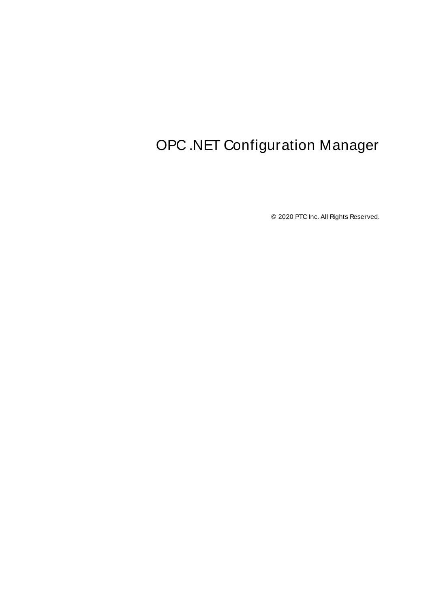# <span id="page-0-0"></span>OPC .NET Configuration Manager

© 2020 PTC Inc. All Rights Reserved.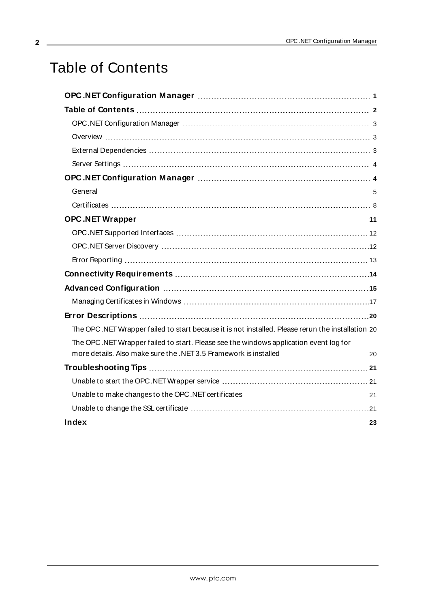# <span id="page-1-0"></span>Table of Contents

| The OPC.NET Wrapper failed to start because it is not installed. Please rerun the installation 20 |  |
|---------------------------------------------------------------------------------------------------|--|
| The OPC.NET Wrapper failed to start. Please see the windows application event log for             |  |
|                                                                                                   |  |
|                                                                                                   |  |
|                                                                                                   |  |
|                                                                                                   |  |
|                                                                                                   |  |
|                                                                                                   |  |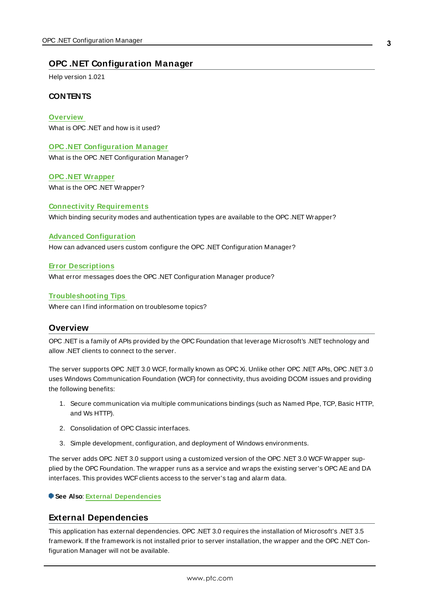### <span id="page-2-0"></span>**OPC .NET Configuration Manager**

Help version 1.021

#### **CONTENTS**

**[Overview](#page-2-1)** What is OPC .NET and how is it used?

**OPC .NET [Configuration](#page-3-1) M anager**

What is the OPC .NET Configuration Manager?

**OPC .NET [Wrapper](#page-10-0)** What is the OPC .NET Wrapper?

**Connectivity [Requirements](#page-13-0)** Which binding security modes and authentication types are available to the OPC .NET Wrapper?

#### **Advanced [Configuration](#page-14-0)**

How can advanced users custom configure the OPC .NET Configuration Manager?

#### **Error [Descriptions](#page-19-0)**

What error messages does the OPC .NET Configuration Manager produce?

#### **[Troubleshooting](#page-20-0) Tips**

<span id="page-2-1"></span>Where can I find information on troublesome topics?

### **Overview**

OPC .NET is a family of APIs provided by the OPC Foundation that leverage Microsoft's .NET technology and allow .NET clients to connect to the server.

The server supports OPC .NET 3.0 WCF, formally known as OPC Xi. Unlike other OPC .NET APIs, OPC .NET 3.0 uses Windows Communication Foundation (WCF) for connectivity, thus avoiding DCOM issues and providing the following benefits:

- 1. Secure communication via multiple communications bindings (such as Named Pipe, TCP, Basic HTTP, and Ws HTTP).
- 2. Consolidation of OPC Classic interfaces.
- 3. Simple development, configuration, and deployment of Windows environments.

The server adds OPC .NET 3.0 support using a customized version of the OPC .NET 3.0 WCFWrapper supplied by the OPC Foundation. The wrapper runs as a service and wraps the existing server's OPC AEand DA interfaces. This provides WCF clients access to the server's tag and alarm data.

#### <span id="page-2-2"></span>**See Also**: **External [Dependencies](#page-2-2)**

### **External Dependencies**

This application has external dependencies. OPC .NET 3.0 requires the installation of Microsoft's .NET 3.5 framework. If the framework is not installed prior to server installation, the wrapper and the OPC .NET Configuration Manager will not be available.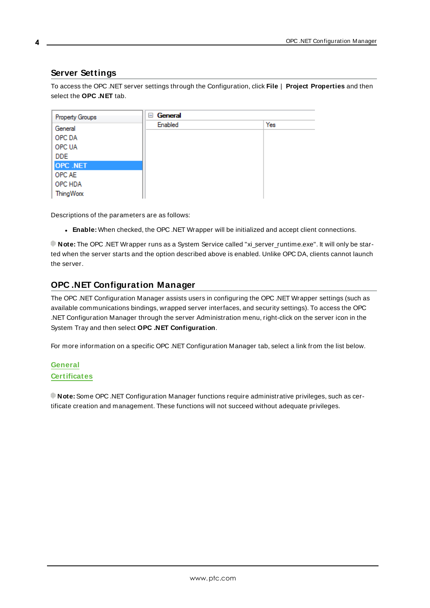### <span id="page-3-0"></span>**Server Settings**

To access the OPC .NET server settings through the Configuration, click **File** | **Project Properties** and then select the **OPC .NET** tab.

| <b>Property Groups</b> | General<br>$=$ |     |  |  |
|------------------------|----------------|-----|--|--|
| General                | Enabled        | Yes |  |  |
| OPC DA                 |                |     |  |  |
| <b>OPC UA</b>          |                |     |  |  |
| DDE                    |                |     |  |  |
| <b>OPC .NET</b>        |                |     |  |  |
| OPC AE                 |                |     |  |  |
| OPC HDA                |                |     |  |  |
| <b>ThingWorx</b>       |                |     |  |  |

Descriptions of the parameters are as follows:

<sup>l</sup> **Enable:** When checked, the OPC .NET Wrapper will be initialized and accept client connections.

**Note:** The OPC .NET Wrapper runs as a System Service called "xi\_server\_runtime.exe". It will only be started when the server starts and the option described above is enabled. Unlike OPC DA, clients cannot launch the server.

### <span id="page-3-1"></span>**OPC .NET Configuration Manager**

The OPC .NET Configuration Manager assists users in configuring the OPC .NET Wrapper settings (such as available communications bindings, wrapped server interfaces, and security settings). To access the OPC .NET Configuration Manager through the server Administration menu, right-click on the server icon in the System Tray and then select **OPC .NET Configuration**.

For more information on a specific OPC .NET Configuration Manager tab, select a link from the list below.

### **[General](#page-4-0) [Certificates](#page-7-0)**

**Note:** Some OPC .NET Configuration Manager functions require administrative privileges, such as certificate creation and management. These functions will not succeed without adequate privileges.

**4**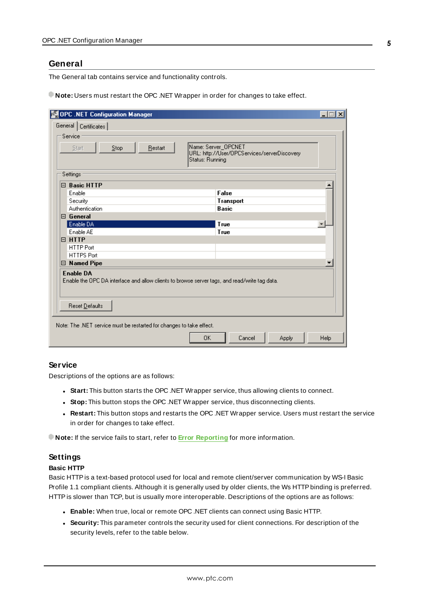#### <span id="page-4-0"></span>**General**

The General tab contains service and functionality controls.

**Note:** Users must restart the OPC .NET Wrapper in order for changes to take effect.

| OPC .NET Configuration Manager                                                                                                      | $ \Box$ $\times$                                                                       |
|-------------------------------------------------------------------------------------------------------------------------------------|----------------------------------------------------------------------------------------|
| General   Certificates                                                                                                              |                                                                                        |
| Service                                                                                                                             |                                                                                        |
| Stop<br>Restart<br>Start                                                                                                            | Name: Server_OPCNET<br>URL: http://User/OPCServices/serverDiscovery<br>Status: Running |
| Settings                                                                                                                            |                                                                                        |
| $\boxminus$ Basic HTTP                                                                                                              |                                                                                        |
| Enable                                                                                                                              | False                                                                                  |
| Security                                                                                                                            | Transport                                                                              |
| Authentication                                                                                                                      | <b>Basic</b>                                                                           |
| $\boxminus$ General                                                                                                                 |                                                                                        |
| Enable DA                                                                                                                           | True                                                                                   |
| Enable AE                                                                                                                           | True                                                                                   |
| $\boxminus$ HTTP                                                                                                                    |                                                                                        |
| <b>HTTP Port</b>                                                                                                                    |                                                                                        |
| <b>HTTPS Port</b>                                                                                                                   |                                                                                        |
| $\boxminus$ Named Pipe                                                                                                              |                                                                                        |
| <b>Enable DA</b><br>Enable the OPC DA interface and allow clients to browse server tags, and read/write tag data.<br>Reset Defaults |                                                                                        |
|                                                                                                                                     |                                                                                        |
| Note: The .NET service must be restarted for changes to take effect.                                                                |                                                                                        |
|                                                                                                                                     | 0K<br>Help<br>Cancel<br>Apply                                                          |

#### **Service**

Descriptions of the options are as follows:

- **Start:** This button starts the OPC .NET Wrapper service, thus allowing clients to connect.
- **.** Stop: This button stops the OPC .NET Wrapper service, thus disconnecting clients.
- **Restart:** This button stops and restarts the OPC .NET Wrapper service. Users must restart the service in order for changes to take effect.

**Note:** If the service fails to start, refer to **Error [Reporting](#page-12-0)** for more information.

### **Settings**

#### **Basic HTTP**

Basic HTTPis a text-based protocol used for local and remote client/server communication by WS-I Basic Profile 1.1 compliant clients. Although it is generally used by older clients, the Ws HTTPbinding is preferred. HTTPis slower than TCP, but is usually more interoperable. Descriptions of the options are as follows:

- **Enable:** When true, local or remote OPC .NET clients can connect using Basic HTTP.
- **.** Security: This parameter controls the security used for client connections. For description of the security levels, refer to the table below.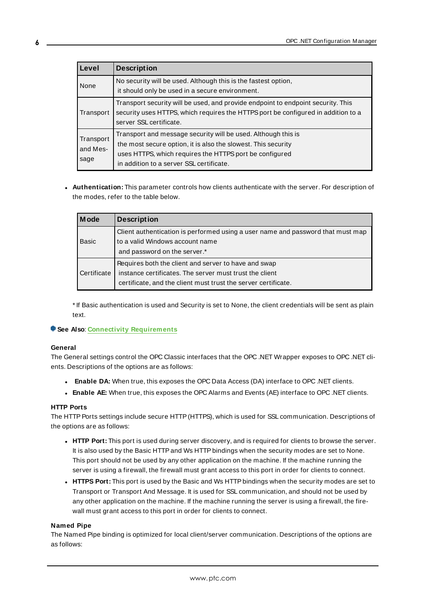| Level                         | <b>Description</b>                                                                                                                                                                                                                    |  |  |
|-------------------------------|---------------------------------------------------------------------------------------------------------------------------------------------------------------------------------------------------------------------------------------|--|--|
| None                          | No security will be used. Although this is the fastest option,<br>it should only be used in a secure environment.                                                                                                                     |  |  |
| Transport                     | Transport security will be used, and provide endpoint to endpoint security. This<br>security uses HTTPS, which requires the HTTPS port be configured in addition to a<br>server SSL certificate.                                      |  |  |
| Transport<br>and Mes-<br>sage | Transport and message security will be used. Although this is<br>the most secure option, it is also the slowest. This security<br>uses HTTPS, which requires the HTTPS port be configured<br>in addition to a server SSL certificate. |  |  |

**Authentication:** This parameter controls how clients authenticate with the server. For description of the modes, refer to the table below.

| <b>Mode</b> | <b>Description</b>                                                                                                                                                                |
|-------------|-----------------------------------------------------------------------------------------------------------------------------------------------------------------------------------|
| Basic       | Client authentication is performed using a user name and password that must map<br>to a valid Windows account name<br>and password on the server.*                                |
| Certificate | Requires both the client and server to have and swap<br>instance certificates. The server must trust the client<br>certificate, and the client must trust the server certificate. |

\* If Basic authentication is used and Security is set to None, the client credentials will be sent as plain text.

#### **See Also**: **Connectivity [Requirements](#page-13-0)**

#### **General**

The General settings control the OPC Classic interfaces that the OPC .NET Wrapper exposes to OPC .NET clients. Descriptions of the options are as follows:

- **Enable DA:** When true, this exposes the OPC Data Access (DA) interface to OPC .NET clients.
- **Enable AE:** When true, this exposes the OPC Alarms and Events (AE) interface to OPC .NET clients.

#### **HTTP Ports**

The HTTP Ports settings include secure HTTP (HTTPS), which is used for SSL communication. Descriptions of the options are as follows:

- **HTTP Port:** This port is used during server discovery, and is required for clients to browse the server. It is also used by the Basic HTTP and Ws HTTP bindings when the security modes are set to None. This port should not be used by any other application on the machine. If the machine running the server is using a firewall, the firewall must grant access to this port in order for clients to connect.
- <sup>l</sup> **HTTPS Port:** This port is used by the Basic and Ws HTTPbindings when the security modes are set to Transport or Transport And Message. It is used for SSL communication, and should not be used by any other application on the machine. If the machine running the server is using a firewall, the firewall must grant access to this port in order for clients to connect.

#### **Named Pipe**

The Named Pipe binding is optimized for local client/server communication. Descriptions of the options are as follows: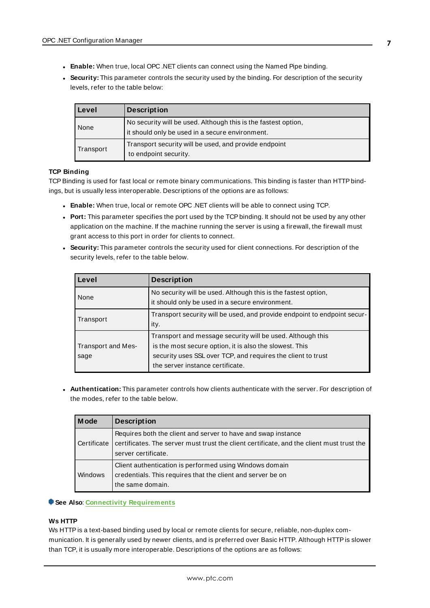- **Enable:** When true, local OPC .NET clients can connect using the Named Pipe binding.
- **.** Security: This parameter controls the security used by the binding. For description of the security levels, refer to the table below:

| Level     | <b>Description</b>                                                                                                |
|-----------|-------------------------------------------------------------------------------------------------------------------|
| None      | No security will be used. Although this is the fastest option,<br>it should only be used in a secure environment. |
| Transport | Transport security will be used, and provide endpoint<br>to endpoint security.                                    |

#### **TCP Binding**

TCP Binding is used for fast local or remote binary communications. This binding is faster than HTTP bindings, but is usually less interoperable. Descriptions of the options are as follows:

- **Enable:** When true, local or remote OPC .NET clients will be able to connect using TCP.
- **Port:** This parameter specifies the port used by the TCP binding. It should not be used by any other application on the machine. If the machine running the server is using a firewall, the firewall must grant access to this port in order for clients to connect.
- **.** Security: This parameter controls the security used for client connections. For description of the security levels, refer to the table below.

| Level                      | <b>Description</b>                                                                                                                                                                                                        |
|----------------------------|---------------------------------------------------------------------------------------------------------------------------------------------------------------------------------------------------------------------------|
| None                       | No security will be used. Although this is the fastest option,<br>it should only be used in a secure environment.                                                                                                         |
| Transport                  | Transport security will be used, and provide endpoint to endpoint secur-<br>ity.                                                                                                                                          |
| Transport and Mes-<br>sage | Transport and message security will be used. Although this<br>is the most secure option, it is also the slowest. This<br>security uses SSL over TCP, and requires the client to trust<br>the server instance certificate. |

**Authentication:** This parameter controls how clients authenticate with the server. For description of the modes, refer to the table below.

| M ode          | <b>Description</b>                                                                                                                                                                |
|----------------|-----------------------------------------------------------------------------------------------------------------------------------------------------------------------------------|
| Certificate    | Requires both the client and server to have and swap instance<br>certificates. The server must trust the client certificate, and the client must trust the<br>server certificate. |
| <b>Windows</b> | Client authentication is performed using Windows domain<br>credentials. This requires that the client and server be on<br>the same domain.                                        |

#### **See Also**: **Connectivity [Requirements](#page-13-0)**

#### **Ws HTTP**

Ws HTTPis a text-based binding used by local or remote clients for secure, reliable, non-duplex communication. It is generally used by newer clients, and is preferred over Basic HTTP. Although HTTP is slower than TCP, it is usually more interoperable. Descriptions of the options are as follows: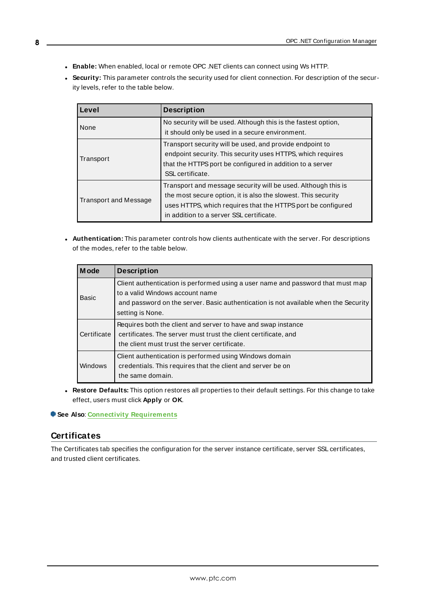- **Enable:** When enabled, local or remote OPC .NET clients can connect using Ws HTTP.
- **.** Security: This parameter controls the security used for client connection. For description of the security levels, refer to the table below.

| l Level                      | <b>Description</b>                                                                                                                                                                                                                         |
|------------------------------|--------------------------------------------------------------------------------------------------------------------------------------------------------------------------------------------------------------------------------------------|
| l None                       | No security will be used. Although this is the fastest option,<br>it should only be used in a secure environment.                                                                                                                          |
| Transport                    | Transport security will be used, and provide endpoint to<br>endpoint security. This security uses HTTPS, which requires<br>that the HTTPS port be configured in addition to a server<br>SSL certificate.                                   |
| <b>Transport and Message</b> | Transport and message security will be used. Although this is<br>the most secure option, it is also the slowest. This security<br>uses HTTPS, which requires that the HTTPS port be configured<br>in addition to a server SSL certificate. |

**.** Authentication: This parameter controls how clients authenticate with the server. For descriptions of the modes, refer to the table below.

| M ode       | <b>Description</b>                                                                                                                                                                                                            |
|-------------|-------------------------------------------------------------------------------------------------------------------------------------------------------------------------------------------------------------------------------|
| Basic       | Client authentication is performed using a user name and password that must map<br>to a valid Windows account name<br>and password on the server. Basic authentication is not available when the Security<br>setting is None. |
| Certificate | Requires both the client and server to have and swap instance<br>certificates. The server must trust the client certificate, and<br>the client must trust the server certificate.                                             |
| Windows     | Client authentication is performed using Windows domain<br>credentials. This requires that the client and server be on<br>the same domain.                                                                                    |

<sup>l</sup> **Restore Defaults:** This option restores all properties to their default settings. For this change to take effect, users must click **Apply** or **OK**.

#### <span id="page-7-0"></span>**See Also**: **Connectivity [Requirements](#page-13-0)**

### **Certificates**

The Certificates tab specifies the configuration for the server instance certificate, server SSL certificates, and trusted client certificates.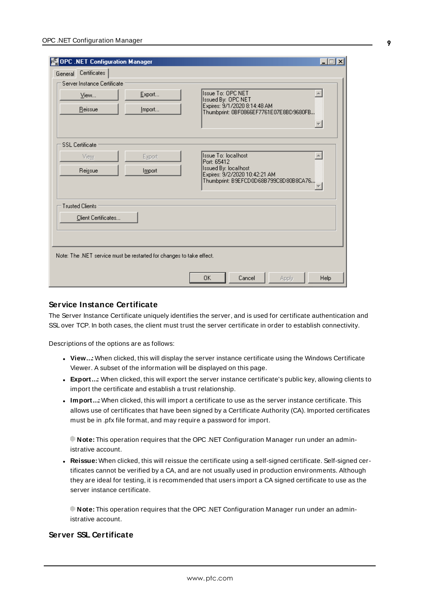| OPC .NET Configuration Manager                |                                                                      |                                                                                                                                             | $\Box$ dix |
|-----------------------------------------------|----------------------------------------------------------------------|---------------------------------------------------------------------------------------------------------------------------------------------|------------|
| General Certificates                          |                                                                      |                                                                                                                                             |            |
| Server Instance Certificate                   |                                                                      |                                                                                                                                             |            |
| View                                          | Export                                                               | <b>Issue To: OPC NET</b><br>Issued By: OPC NET                                                                                              |            |
| Reissue                                       | Import                                                               | Expires: 9/1/2020 8:14:48 AM<br>Thumbprint: 0BF0866EF7761E07E8BD9680FB                                                                      |            |
| <b>SSL</b> Certificate<br>View<br>Reissue     | Export<br>Import                                                     | <b>Issue To: localhost</b><br>Port: 65412<br>Issued By: localhost<br>Expires: 9/2/2020 10:42:21 AM<br>Thumbprint: B9EFCD0D68B799C8D80B8CA76 |            |
| <b>Trusted Clients</b><br>Client Certificates |                                                                      |                                                                                                                                             |            |
|                                               | Note: The .NET service must be restarted for changes to take effect. |                                                                                                                                             |            |
|                                               |                                                                      | <b>OK</b><br>Cancel<br>Apply                                                                                                                | Help       |

### **Service Instance Certificate**

The Server Instance Certificate uniquely identifies the server, and is used for certificate authentication and SSL over TCP. In both cases, the client must trust the server certificate in order to establish connectivity.

Descriptions of the options are as follows:

- **· View..:** When clicked, this will display the server instance certificate using the Windows Certificate Viewer. A subset of the information will be displayed on this page.
- **Export..:** When clicked, this will export the server instance certificate's public key, allowing clients to import the certificate and establish a trust relationship.
- Import..: When clicked, this will import a certificate to use as the server instance certificate. This allows use of certificates that have been signed by a Certificate Authority (CA). Imported certificates must be in .pfx file format, and may require a password for import.

**Note:** This operation requires that the OPC .NET Configuration Manager run under an administrative account.

<sup>l</sup> **Reissue:** When clicked, this will reissue the certificate using a self-signed certificate. Self-signed certificates cannot be verified by a CA, and are not usually used in production environments. Although they are ideal for testing, it is recommended that users import a CA signed certificate to use as the server instance certificate.

**Note:** This operation requires that the OPC .NET Configuration Manager run under an administrative account.

### **Server SSL Certificate**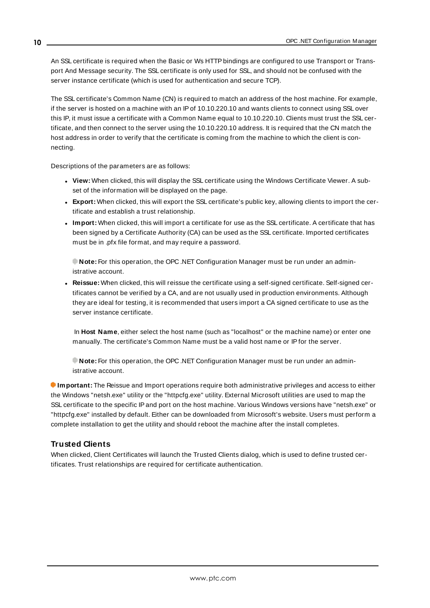An SSL certificate is required when the Basic or Ws HTTP bindings are configured to use Transport or Transport And Message security. The SSL certificate is only used for SSL, and should not be confused with the server instance certificate (which is used for authentication and secure TCP).

The SSL certificate's Common Name (CN) is required to match an address of the host machine. For example, if the server is hosted on a machine with an IPof 10.10.220.10 and wants clients to connect using SSL over this IP, it must issue a certificate with a Common Name equal to 10.10.220.10. Clients must trust the SSL certificate, and then connect to the server using the 10.10.220.10 address. It is required that the CN match the host address in order to verify that the certificate is coming from the machine to which the client is connecting.

Descriptions of the parameters are as follows:

- <sup>l</sup> **View:** When clicked, this will display the SSL certificate using the Windows Certificate Viewer. A subset of the information will be displayed on the page.
- **Export:** When clicked, this will export the SSL certificate's public key, allowing clients to import the certificate and establish a trust relationship.
- **Import:** When clicked, this will import a certificate for use as the SSL certificate. A certificate that has been signed by a Certificate Authority (CA) can be used as the SSL certificate. Imported certificates must be in .pfx file format, and may require a password.

**Note:** For this operation, the OPC .NET Configuration Manager must be run under an administrative account.

<sup>l</sup> **Reissue:** When clicked, this will reissue the certificate using a self-signed certificate. Self-signed certificates cannot be verified by a CA, and are not usually used in production environments. Although they are ideal for testing, it is recommended that users import a CA signed certificate to use as the server instance certificate.

In **Host Name**, either select the host name (such as "localhost" or the machine name) or enter one manually. The certificate's Common Name must be a valid host name or IPfor the server.

**Note:** For this operation, the OPC .NET Configuration Manager must be run under an administrative account.

**Important:** The Reissue and Import operations require both administrative privileges and access to either the Windows "netsh.exe" utility or the "httpcfg.exe" utility. External Microsoft utilities are used to map the SSL certificate to the specific IPand port on the host machine. Various Windows versions have "netsh.exe" or "httpcfg.exe" installed by default. Either can be downloaded from Microsoft's website. Users must perform a complete installation to get the utility and should reboot the machine after the install completes.

### **Trusted Clients**

When clicked, Client Certificates will launch the Trusted Clients dialog, which is used to define trusted certificates. Trust relationships are required for certificate authentication.

**10**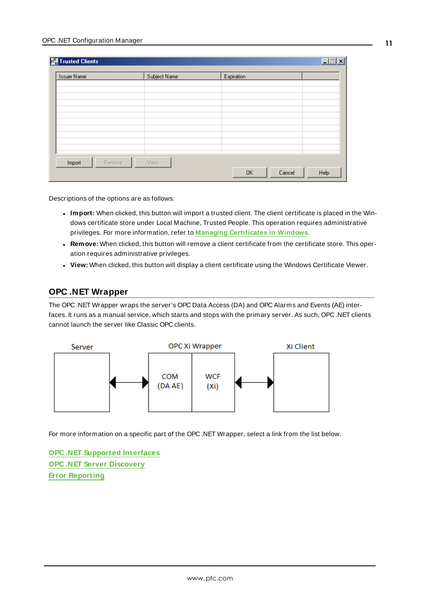| <b>Issuer Name</b> | Subject Name | Expiration |  |
|--------------------|--------------|------------|--|
|                    |              |            |  |
|                    |              |            |  |
|                    |              |            |  |
|                    |              |            |  |
|                    |              |            |  |
|                    |              |            |  |
|                    |              |            |  |
|                    |              |            |  |
|                    |              |            |  |
| Remove<br>Import   | View         |            |  |

Descriptions of the options are as follows:

- **Import:** When clicked, this button will import a trusted client. The client certificate is placed in the Windows certificate store under Local Machine, Trusted People. This operation requires administrative privileges. For more information, refer to **Managing [Certificates](#page-16-0) in Windows**.
- <sup>l</sup> **Remove:** When clicked, this button will remove a client certificate from the certificate store. This operation requires administrative privileges.
- **· View:** When clicked, this button will display a client certificate using the Windows Certificate Viewer.

### <span id="page-10-0"></span>**OPC .NET Wrapper**

The OPC .NET Wrapper wraps the server's OPC Data Access (DA) and OPC Alarms and Events (AE) interfaces. It runs as a manual service, which starts and stops with the primary server. As such, OPC .NET clients cannot launch the server like Classic OPC clients.



For more information on a specific part of the OPC .NET Wrapper, select a link from the list below.

**OPC .NET [Supported](#page-11-0) Interfaces OPC .NET Server [Discovery](#page-11-1) Error [Reporting](#page-12-0)**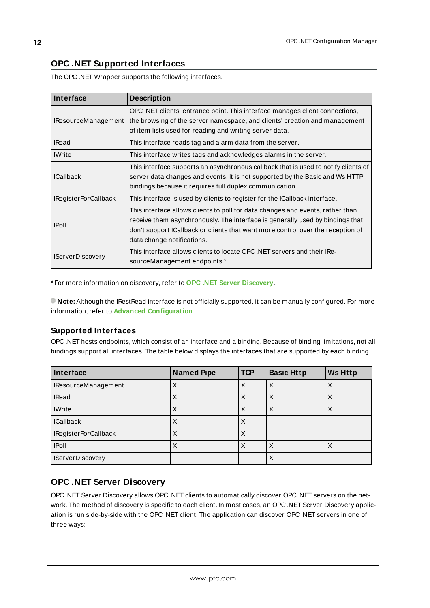### <span id="page-11-0"></span>**OPC .NET Supported Interfaces**

| Interface                  | <b>Description</b>                                                                                                                                                                                                                                                               |
|----------------------------|----------------------------------------------------------------------------------------------------------------------------------------------------------------------------------------------------------------------------------------------------------------------------------|
| <b>IResourceManagement</b> | OPC .NET clients' entrance point. This interface manages client connections,<br>the browsing of the server namespace, and clients' creation and management<br>of item lists used for reading and writing server data.                                                            |
| <b>IRead</b>               | This interface reads tag and alarm data from the server.                                                                                                                                                                                                                         |
| <b>IWrite</b>              | This interface writes tags and acknowledges alarms in the server.                                                                                                                                                                                                                |
| <b>ICallback</b>           | This interface supports an asynchronous callback that is used to notify clients of<br>server data changes and events. It is not supported by the Basic and Ws HTTP<br>bindings because it requires full duplex communication.                                                    |
| IRegisterForCallback       | This interface is used by clients to register for the ICallback interface.                                                                                                                                                                                                       |
| <b>IPoll</b>               | This interface allows clients to poll for data changes and events, rather than<br>receive them asynchronously. The interface is generally used by bindings that<br>don't support ICallback or clients that want more control over the reception of<br>data change notifications. |
| <b>IServerDiscovery</b>    | This interface allows clients to locate OPC .NET servers and their IRe-<br>sourceManagement endpoints.*                                                                                                                                                                          |

The OPC .NET Wrapper supports the following interfaces.

\* For more information on discovery, refer to **OPC .NET Server [Discovery](#page-11-1)**.

**Note:** Although the IRestRead interface is not officially supported, it can be manually configured. For more information, refer to **Advanced [Configuration](#page-14-0)**.

### **Supported Interfaces**

OPC .NET hosts endpoints, which consist of an interface and a binding. Because of binding limitations, not all bindings support all interfaces. The table below displays the interfaces that are supported by each binding.

| Interface               | <b>Named Pipe</b> | <b>TCP</b> | <b>Basic Http</b> | <b>Ws Http</b> |
|-------------------------|-------------------|------------|-------------------|----------------|
| IResourceManagement     |                   | X          | ⋏                 |                |
| <b>IRead</b>            |                   |            |                   |                |
| <b>IWrite</b>           |                   | X          | ⋏                 |                |
| <b>ICallback</b>        |                   | ∧          |                   |                |
| IRegisterForCallback    |                   |            |                   |                |
| <b>IPoll</b>            |                   | ∧          |                   |                |
| <b>IServerDiscovery</b> |                   |            | ᄉ                 |                |

### <span id="page-11-1"></span>**OPC .NET Server Discovery**

OPC .NET Server Discovery allows OPC .NET clients to automatically discover OPC .NET servers on the network. The method of discovery is specific to each client. In most cases, an OPC .NET Server Discovery application is run side-by-side with the OPC .NET client. The application can discover OPC .NET servers in one of three ways: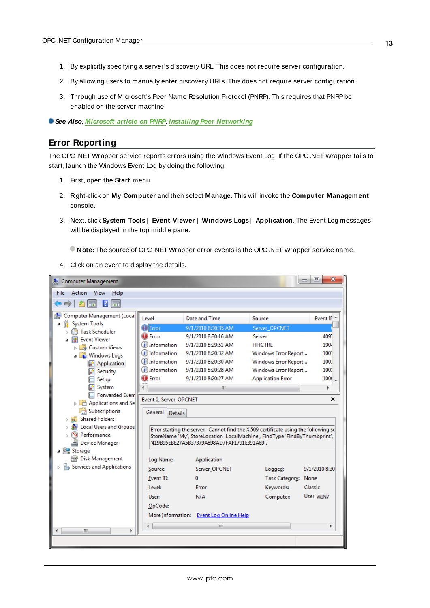- 1. By explicitly specifying a server's discovery URL. This does not require server configuration.
- 2. By allowing users to manually enter discovery URLs. This does not require server configuration.
- 3. Through use of Microsoft's Peer Name Resolution Protocol (PNRP). This requires that PNRPbe enabled on the server machine.

<span id="page-12-0"></span>**See Also**: **[Microsoft](https://docs.microsoft.com/en-us/dotnet/framework/network-programming/peer-name-resolution-protocol) article on PNRP**, **Installing Peer [Networking](https://docs.microsoft.com/en-us/windows/win32/p2psdk/installing-the-peer-infrastructure)**

### **Error Reporting**

The OPC .NET Wrapper service reports errors using the Windows Event Log. If the OPC .NET Wrapper fails to start, launch the Windows Event Log by doing the following:

- 1. First, open the **Start** menu.
- 2. Right-click on **My Computer** and then select **Manage**. This will invoke the **Computer Management** console.
- 3. Next, click **System Tools** | **Event Viewer** | **Windows Logs** | **Application**. The Event Log messages will be displayed in the top middle pane.

**Note:** The source of OPC .NET Wrapper error events is the OPC .NET Wrapper service name.

4. Click on an event to display the details.

| <b>A</b> Computer Management                             |                             |                                                                                                                           |                          | $\mathbf{x}$<br>▣<br>$\Box$ |
|----------------------------------------------------------|-----------------------------|---------------------------------------------------------------------------------------------------------------------------|--------------------------|-----------------------------|
| File<br>Action<br>View<br>Help                           |                             |                                                                                                                           |                          |                             |
| 司                                                        |                             |                                                                                                                           |                          |                             |
| Computer Management (Local<br><b>System Tools</b><br>YZ. | Level                       | Date and Time                                                                                                             | Source                   | Event II <sup>4</sup>       |
| <b>Task Scheduler</b>                                    | $!$ HError                  | 9/1/2010 8:30:35 AM                                                                                                       | Server OPCNET            |                             |
| <b>Event Viewer</b>                                      | $\Box$ Error                | 9/1/2010 8:30:16 AM                                                                                                       | Server                   | 409.                        |
| Custom Views                                             | (i) Information             | 9/1/2010 8:29:51 AM                                                                                                       | <b>HHCTRL</b>            | 190t                        |
| <b>N</b> Windows Logs                                    | (i) Information             | 9/1/2010 8:20:32 AM                                                                                                       | Windows Error Report     | 1001                        |
| Application                                              | (i) Information             | 9/1/2010 8:20:30 AM                                                                                                       | Windows Error Report     | 1001                        |
| Security                                                 | (i) Information             | 9/1/2010 8:20:28 AM                                                                                                       | Windows Error Report     | 1001                        |
| Setup                                                    | <b>D</b> Error              | 9/1/2010 8:20:27 AM                                                                                                       | <b>Application Error</b> | 1000                        |
| System                                                   |                             | ш                                                                                                                         |                          |                             |
| Forwarded Event                                          | Event 0, Server_OPCNET      |                                                                                                                           |                          | ×                           |
| Applications and Se                                      |                             |                                                                                                                           |                          |                             |
| Subscriptions                                            | General  <br><b>Details</b> |                                                                                                                           |                          |                             |
| Shared Folders<br>Local Users and Groups                 |                             |                                                                                                                           |                          |                             |
| (N) Performance<br>ь                                     |                             | Error starting the server: Cannot find the X.509 certificate using the following se                                       |                          |                             |
| Device Manager                                           |                             | StoreName 'My', StoreLocation 'LocalMachine', FindType 'FindByThumbprint',<br>'419B95EBE27A5B37379A898AD7FAF1791E391A69', |                          |                             |
| Storage                                                  |                             |                                                                                                                           |                          |                             |
| Disk Management                                          | Log Name:                   | Application                                                                                                               |                          |                             |
| Services and Applications                                | Source:                     | Server_OPCNET                                                                                                             | Logged:                  | 9/1/2010 8:30               |
|                                                          | Event ID:                   | 0                                                                                                                         | Task Category:           | None                        |
|                                                          | Level:                      | Error                                                                                                                     | Keywords:                | Classic                     |
|                                                          | User:                       | N/A                                                                                                                       | Computer:                | User-WIN7                   |
|                                                          | OpCode:                     |                                                                                                                           |                          |                             |
|                                                          | More Information:           | <b>Event Log Online Help</b>                                                                                              |                          |                             |
|                                                          |                             |                                                                                                                           |                          |                             |
| m.<br>b.                                                 |                             | ш                                                                                                                         |                          |                             |
|                                                          |                             |                                                                                                                           |                          |                             |
|                                                          |                             |                                                                                                                           |                          |                             |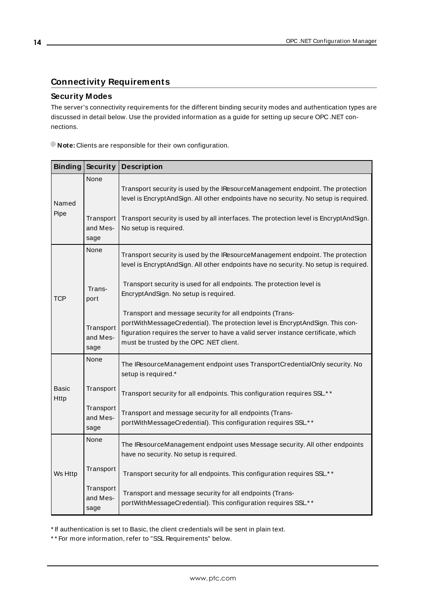### <span id="page-13-0"></span>**Connectivity Requirements**

### **Security Modes**

The server's connectivity requirements for the different binding security modes and authentication types are discussed in detail below. Use the provided information as a guide for setting up secure OPC .NET connections.

**Note:** Clients are responsible for their own configuration.

| <b>Binding</b>                                        | Security                                                                                                       | <b>Description</b>                                                                                                                                                                                                                                                        |
|-------------------------------------------------------|----------------------------------------------------------------------------------------------------------------|---------------------------------------------------------------------------------------------------------------------------------------------------------------------------------------------------------------------------------------------------------------------------|
| Named<br>Pipe                                         | None<br>Transport                                                                                              | Transport security is used by the IResourceManagement endpoint. The protection<br>level is EncryptAndSign. All other endpoints have no security. No setup is required.<br>Transport security is used by all interfaces. The protection level is EncryptAndSign.           |
|                                                       | and Mes-<br>sage                                                                                               | No setup is required.                                                                                                                                                                                                                                                     |
|                                                       | None                                                                                                           | Transport security is used by the IResourceManagement endpoint. The protection<br>level is EncryptAndSign. All other endpoints have no security. No setup is required.                                                                                                    |
| Trans-<br><b>TCP</b><br>port<br>Transport<br>and Mes- | Transport security is used for all endpoints. The protection level is<br>EncryptAndSign. No setup is required. |                                                                                                                                                                                                                                                                           |
|                                                       | sage                                                                                                           | Transport and message security for all endpoints (Trans-<br>portWithMessageCredential). The protection level is EncryptAndSign. This con-<br>figuration requires the server to have a valid server instance certificate, which<br>must be trusted by the OPC .NET client. |
| None                                                  |                                                                                                                | The IResourceManagement endpoint uses TransportCredentialOnly security. No<br>setup is required.*                                                                                                                                                                         |
| <b>Basic</b><br>Http<br>sage                          | Transport                                                                                                      | Transport security for all endpoints. This configuration requires SSL.* *                                                                                                                                                                                                 |
|                                                       | Transport<br>and Mes-                                                                                          | Transport and message security for all endpoints (Trans-<br>portWithMessageCredential). This configuration requires SSL.**                                                                                                                                                |
|                                                       | None                                                                                                           | The IResourceManagement endpoint uses Message security. All other endpoints<br>have no security. No setup is required.                                                                                                                                                    |
| Ws Http                                               | Transport                                                                                                      | Transport security for all endpoints. This configuration requires SSL.**                                                                                                                                                                                                  |
|                                                       | Transport<br>and Mes-<br>sage                                                                                  | Transport and message security for all endpoints (Trans-<br>portWithMessageCredential). This configuration requires SSL.* *                                                                                                                                               |

\* If authentication is set to Basic, the client credentials will be sent in plain text.

\* \* For more information, refer to "SSL Requirements" below.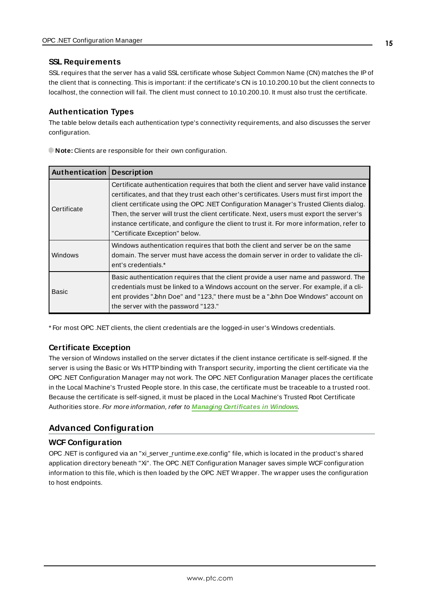### **SSL Requirements**

SSL requires that the server has a valid SSL certificate whose Subject Common Name (CN) matches the IPof the client that is connecting. This is important: if the certificate's CN is 10.10.200.10 but the client connects to localhost, the connection will fail. The client must connect to 10.10.200.10. It must also trust the certificate.

### **Authentication Types**

The table below details each authentication type's connectivity requirements, and also discusses the server configuration.

| Authentication | <b>Description</b>                                                                                                                                                                                                                                                                                                                                                                                                                                                                                       |
|----------------|----------------------------------------------------------------------------------------------------------------------------------------------------------------------------------------------------------------------------------------------------------------------------------------------------------------------------------------------------------------------------------------------------------------------------------------------------------------------------------------------------------|
| Certificate    | Certificate authentication requires that both the client and server have valid instance<br>certificates, and that they trust each other's certificates. Users must first import the<br>client certificate using the OPC .NET Configuration Manager's Trusted Clients dialog.<br>Then, the server will trust the client certificate. Next, users must export the server's<br>instance certificate, and configure the client to trust it. For more information, refer to<br>"Certificate Exception" below. |
| Windows        | Windows authentication requires that both the client and server be on the same<br>domain. The server must have access the domain server in order to validate the cli-<br>ent's credentials.*                                                                                                                                                                                                                                                                                                             |
| <b>Basic</b>   | Basic authentication requires that the client provide a user name and password. The<br>credentials must be linked to a Windows account on the server. For example, if a cli-<br>ent provides "John Doe" and "123," there must be a "John Doe Windows" account on<br>the server with the password "123."                                                                                                                                                                                                  |

**Note:** Clients are responsible for their own configuration.

\* For most OPC .NET clients, the client credentials are the logged-in user's Windows credentials.

### **Certificate Exception**

The version of Windows installed on the server dictates if the client instance certificate is self-signed. If the server is using the Basic or Ws HTTPbinding with Transport security, importing the client certificate via the OPC .NET Configuration Manager may not work. The OPC .NET Configuration Manager places the certificate in the Local Machine's Trusted People store. In this case, the certificate must be traceable to a trusted root. Because the certificate is self-signed, it must be placed in the Local Machine's Trusted Root Certificate Authorities store. For more information, refer to **Managing [Certificates](#page-16-0) in Windows**.

### <span id="page-14-0"></span>**Advanced Configuration**

### **WCF Configuration**

OPC .NET is configured via an "xi\_server\_runtime.exe.config" file, which is located in the product's shared application directory beneath "Xi". The OPC .NET Configuration Manager saves simple WCF configuration information to this file, which is then loaded by the OPC .NET Wrapper. The wrapper uses the configuration to host endpoints.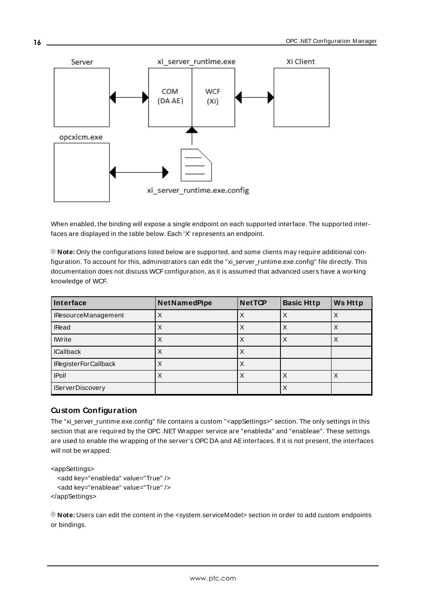

When enabled, the binding will expose a single endpoint on each supported interface. The supported interfaces are displayed in the table below. Each 'X' represents an endpoint.

**Note:** Only the configurations listed below are supported, and some clients may require additional configuration. To account for this, administrators can edit the "xi\_server\_runtime.exe.config" file directly. This documentation does not discuss WCF configuration, as it is assumed that advanced users have a working knowledge of WCF.

| Interface               | <b>NetNamedPipe</b> | <b>Net TCP</b> | <b>Basic Http</b> | <b>Ws Http</b> |
|-------------------------|---------------------|----------------|-------------------|----------------|
| IResourceManagement     |                     | Χ              | X                 | Χ              |
| <b>IRead</b>            | х                   | Х              | х                 | Х              |
| <b>IWrite</b>           | х                   | Χ              | Х                 | Х              |
| <b>ICallback</b>        |                     | Χ              |                   |                |
| IRegisterForCallback    | х                   | Χ              |                   |                |
| <b>IPoll</b>            | Χ                   | Χ              |                   |                |
| <b>IServerDiscovery</b> |                     |                | Х                 |                |

### **Custom Configuration**

The "xi\_server\_runtime.exe.config" file contains a custom "<appSettings>" section. The only settings in this section that are required by the OPC .NET Wrapper service are "enableda" and "enableae". These settings are used to enable the wrapping of the server's OPC DA and AEinterfaces. If it is not present, the interfaces will not be wrapped.

```
<appSettings>
  <add key="enableda" value="True" />
  <add key="enableae" value="True" />
</appSettings>
```
**Note:** Users can edit the content in the <system.serviceModel> section in order to add custom endpoints or bindings.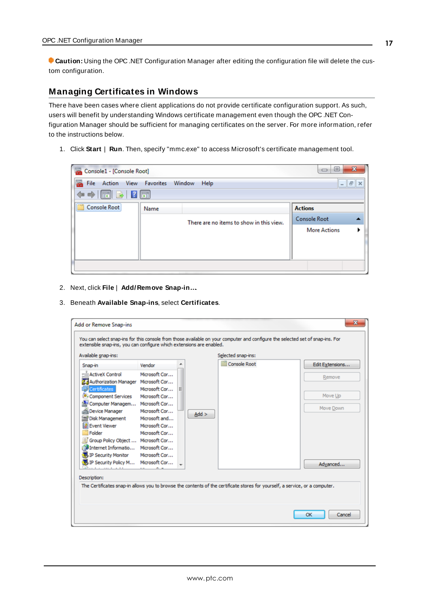**Caution:** Using the OPC .NET Configuration Manager after editing the configuration file will delete the custom configuration.

### <span id="page-16-0"></span>**Managing Certificates in Windows**

There have been cases where client applications do not provide certificate configuration support. As such, users will benefit by understanding Windows certificate management even though the OPC .NET Configuration Manager should be sufficient for managing certificates on the server. For more information, refer to the instructions below.

1. Click **Start** | **Run**. Then, specify "mmc.exe" to access Microsoft's certificate management tool.

| Console1 - [Console Root]                                                              |      |                                          | x<br>$\Box$<br>U    |  |  |
|----------------------------------------------------------------------------------------|------|------------------------------------------|---------------------|--|--|
| Action View Favorites Window<br>File<br>Help<br>$   \approx$                           |      |                                          |                     |  |  |
| $\Leftrightarrow$ $\boxed{\blacksquare}$ $\boxed{\blacksquare}$ $\boxed{\blacksquare}$ |      |                                          |                     |  |  |
| <b>Console Root</b>                                                                    | Name |                                          | <b>Actions</b>      |  |  |
|                                                                                        |      | There are no items to show in this view. | <b>Console Root</b> |  |  |
|                                                                                        |      |                                          | <b>More Actions</b> |  |  |
|                                                                                        |      |                                          |                     |  |  |
|                                                                                        |      |                                          |                     |  |  |
|                                                                                        |      |                                          |                     |  |  |

- 2. Next, click **File** | **Add/Remove Snap-in…**.
- 3. Beneath **Available Snap-ins**, select **Certificates**.

|                                        |               |  |         | <b>Console Root</b> | Edit Extensions |
|----------------------------------------|---------------|--|---------|---------------------|-----------------|
| Snap-in                                | Vendor        |  |         |                     |                 |
| <b>ActiveX Control</b><br>нŵ           | Microsoft Cor |  |         |                     | Remove          |
| d. Authorization Manager Microsoft Cor |               |  |         |                     |                 |
| Certificates                           | Microsoft Cor |  |         |                     |                 |
| Component Services                     | Microsoft Cor |  |         |                     | Move Up         |
| Computer Managem Microsoft Cor         |               |  |         |                     | Move Down       |
| Device Manager                         | Microsoft Cor |  | $Add$ > |                     |                 |
| Disk Management                        | Microsoft and |  |         |                     |                 |
| <b>B</b> Event Viewer                  | Microsoft Cor |  |         |                     |                 |
| Folder                                 | Microsoft Cor |  |         |                     |                 |
| Group Policy Object  Microsoft Cor     |               |  |         |                     |                 |
| Internet Informatio Microsoft Cor      |               |  |         |                     |                 |
| 見 IP Security Monitor                  | Microsoft Cor |  |         |                     |                 |
| 見 IP Security Policy M Microsoft Cor   |               |  |         |                     | Advanced        |
|                                        |               |  |         |                     |                 |
| Description:                           |               |  |         |                     |                 |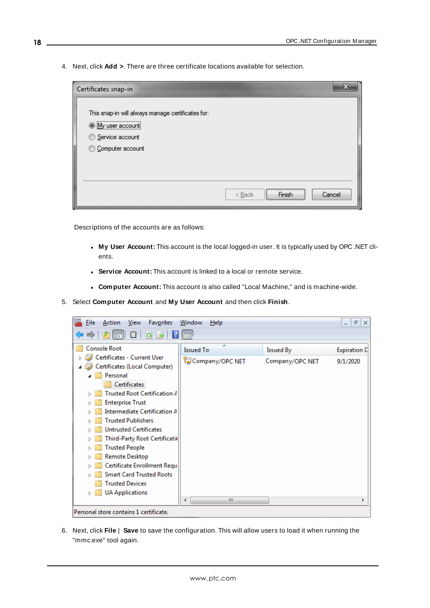4. Next, click **Add >**. There are three certificate locations available for selection.

| Certificates snap-in                                                                                          | X                                                 |
|---------------------------------------------------------------------------------------------------------------|---------------------------------------------------|
| This snap-in will always manage certificates for:<br>O My user account<br>Service account<br>Computer account |                                                   |
|                                                                                                               | Finish<br>Cancel<br>$< \underline{\mathsf{Back}}$ |

Descriptions of the accounts are as follows:

- <sup>l</sup> **My User Account:** This account is the local logged-in user. It is typically used by OPC .NET clients.
- **Service Account:** This account is linked to a local or remote service.
- <sup>l</sup> **Computer Account:** This account is also called "Local Machine," and is machine-wide.
- 5. Select **Computer Account** and **My User Account** and then click **Finish**.



6. Next, click **File** | **Save** to save the configuration. This will allow users to load it when running the "mmc.exe" tool again.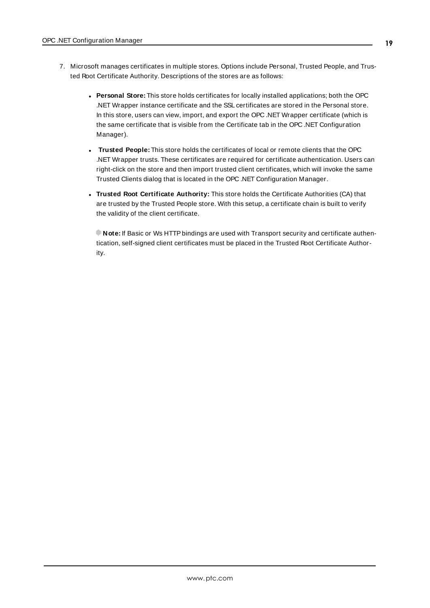- 7. Microsoft manages certificates in multiple stores. Options include Personal, Trusted People, and Trusted Root Certificate Authority. Descriptions of the stores are as follows:
	- **Personal Store:** This store holds certificates for locally installed applications; both the OPC .NET Wrapper instance certificate and the SSL certificates are stored in the Personal store. In this store, users can view, import, and export the OPC .NET Wrapper certificate (which is the same certificate that is visible from the Certificate tab in the OPC .NET Configuration Manager).
	- <sup>l</sup> **Trusted People:** This store holds the certificates of local or remote clients that the OPC .NET Wrapper trusts. These certificates are required for certificate authentication. Users can right-click on the store and then import trusted client certificates, which will invoke the same Trusted Clients dialog that is located in the OPC .NET Configuration Manager.
	- <sup>l</sup> **Trusted Root Certificate Authority:** This store holds the Certificate Authorities (CA) that are trusted by the Trusted People store. With this setup, a certificate chain is built to verify the validity of the client certificate.

**Note:** If Basic or Ws HTTPbindings are used with Transport security and certificate authentication, self-signed client certificates must be placed in the Trusted Root Certificate Authority.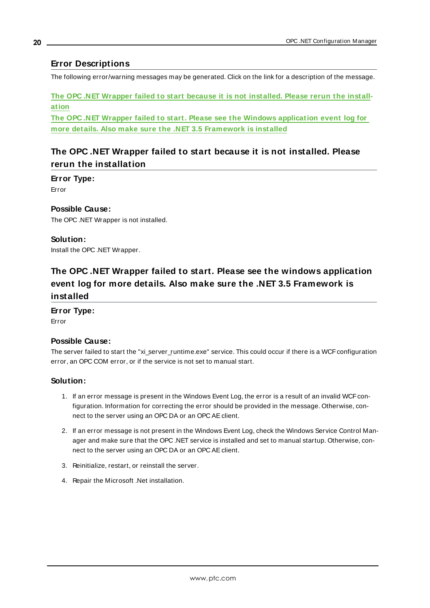### <span id="page-19-0"></span>**Error Descriptions**

The following error/warning messages may be generated. Click on the link for a description of the message.

**The OPC .NET Wrapper failed to start because it is not [installed.](#page-19-1) Please rerun the install[ation](#page-19-1)**

**The OPC .NET Wrapper failed to start. Please see the Windows [application](#page-19-2) event log for more details. Also make sure the .NET 3.5 [Framework](#page-19-2) is installed**

### <span id="page-19-1"></span>**The OPC .NET Wrapper failed to start because it is not installed. Please rerun the installation**

**Error Type:** Error

### **Possible Cause:**

The OPC .NET Wrapper is not installed.

### **Solution:**

<span id="page-19-2"></span>Install the OPC .NET Wrapper.

# **The OPC .NET Wrapper failed to start. Please see the windows application event log for more details. Also make sure the .NET 3.5 Framework is installed**

### **Error Type:**

Error

### **Possible Cause:**

The server failed to start the "xi\_server\_runtime.exe" service. This could occur if there is a WCF configuration error, an OPC COM error, or if the service is not set to manual start.

### **Solution:**

- 1. If an error message is present in the Windows Event Log, the error is a result of an invalid WCF configuration. Information for correcting the error should be provided in the message. Otherwise, connect to the server using an OPC DA or an OPC AEclient.
- 2. If an error message is not present in the Windows Event Log, check the Windows Service Control Manager and make sure that the OPC .NET service is installed and set to manual startup. Otherwise, connect to the server using an OPC DA or an OPC AEclient.
- 3. Reinitialize, restart, or reinstall the server.
- 4. Repair the Microsoft .Net installation.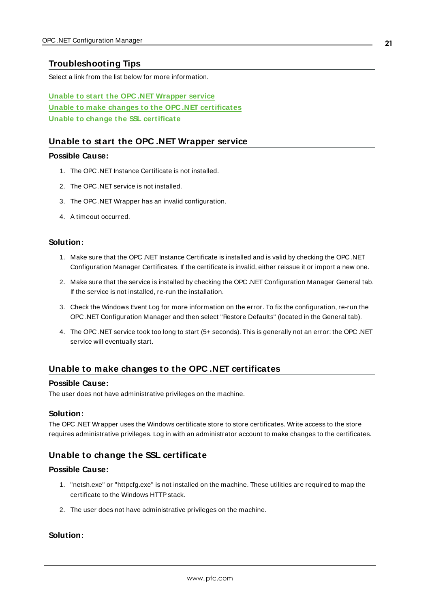### <span id="page-20-0"></span>**Troubleshooting Tips**

Select a link from the list below for more information.

**Unable to start the OPC .NET [Wrapper](#page-20-1) service Unable to make changes to the OPC .NET [certificates](#page-20-2) Unable to change the SSL [certificate](#page-20-3)**

### <span id="page-20-1"></span>**Unable to start the OPC .NET Wrapper service**

#### **Possible Cause:**

- 1. The OPC .NET Instance Certificate is not installed.
- 2. The OPC .NET service is not installed.
- 3. The OPC .NET Wrapper has an invalid configuration.
- 4. A timeout occurred.

#### **Solution:**

- 1. Make sure that the OPC .NET Instance Certificate is installed and is valid by checking the OPC .NET Configuration Manager Certificates. If the certificate is invalid, either reissue it or import a new one.
- 2. Make sure that the service is installed by checking the OPC .NET Configuration Manager General tab. If the service is not installed, re-run the installation.
- 3. Check the Windows Event Log for more information on the error. To fix the configuration, re-run the OPC .NET Configuration Manager and then select "Restore Defaults" (located in the General tab).
- 4. The OPC .NET service took too long to start (5+ seconds). This is generally not an error: the OPC .NET service will eventually start.

### <span id="page-20-2"></span>**Unable to make changes to the OPC .NET certificates**

#### **Possible Cause:**

The user does not have administrative privileges on the machine.

### **Solution:**

The OPC .NET Wrapper uses the Windows certificate store to store certificates. Write access to the store requires administrative privileges. Log in with an administrator account to make changes to the certificates.

### <span id="page-20-3"></span>**Unable to change the SSL certificate**

#### **Possible Cause:**

- 1. "netsh.exe" or "httpcfg.exe" is not installed on the machine. These utilities are required to map the certificate to the Windows HTTP stack.
- 2. The user does not have administrative privileges on the machine.

### **Solution:**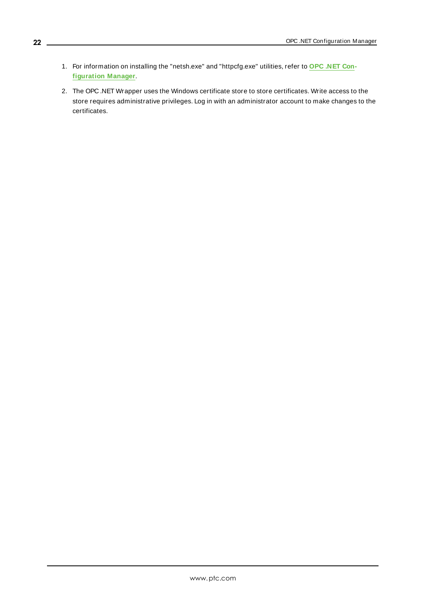- 1. For information on installing the "netsh.exe" and "httpcfg.exe" utilities, refer to **OPC [.NET](#page-3-1) Con[figuration](#page-3-1) Manager**.
- 2. The OPC .NET Wrapper uses the Windows certificate store to store certificates. Write access to the store requires administrative privileges. Log in with an administrator account to make changes to the certificates.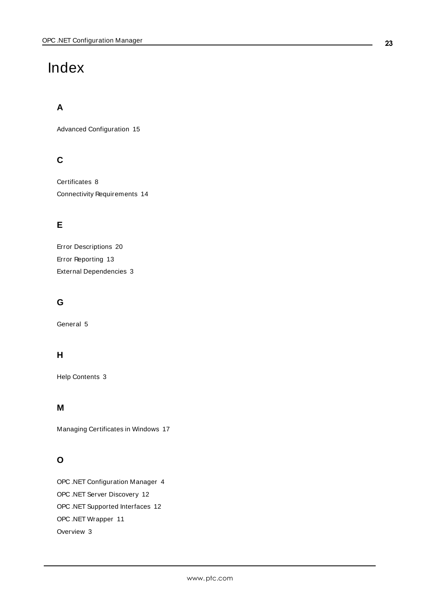# <span id="page-22-0"></span>Index

# **A**

Advanced Configuration [15](#page-14-0)

# **C**

Certificates [8](#page-7-0) Connectivity Requirements [14](#page-13-0)

# **E**

Error Descriptions [20](#page-19-0) Error Reporting [13](#page-12-0) External Dependencies [3](#page-2-2)

# **G**

General [5](#page-4-0)

# **H**

Help Contents [3](#page-2-0)

## **M**

Managing Certificates in Windows [17](#page-16-0)

# **O**

OPC .NET Configuration Manager [4](#page-3-1) OPC .NET Server Discovery [12](#page-11-1) OPC .NET Supported Interfaces [12](#page-11-0) OPC .NET Wrapper [11](#page-10-0) Overview [3](#page-2-1)